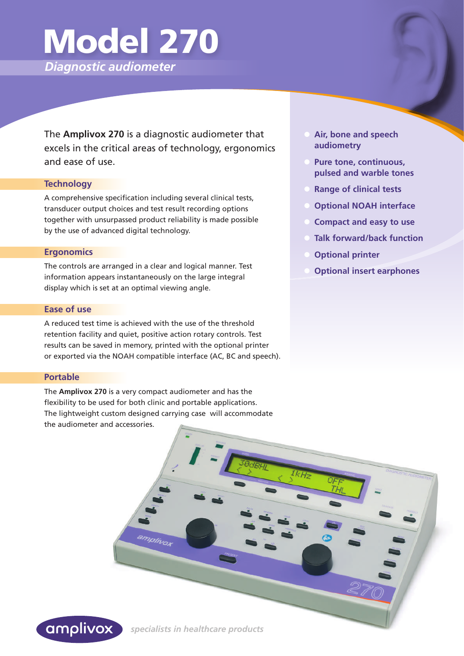# Model 270

*Diagnostic audiometer*

The **Amplivox 270** is a diagnostic audiometer that excels in the critical areas of technology, ergonomics and ease of use.

#### **Technology**

A comprehensive specification including several clinical tests, transducer output choices and test result recording options together with unsurpassed product reliability is made possible by the use of advanced digital technology.

#### **Ergonomics**

The controls are arranged in a clear and logical manner. Test information appears instantaneously on the large integral display which is set at an optimal viewing angle.

#### **Ease of use**

A reduced test time is achieved with the use of the threshold retention facility and quiet, positive action rotary controls. Test results can be saved in memory, printed with the optional printer or exported via the NOAH compatible interface (AC, BC and speech).

#### **Portable**

The **Amplivox 270** is a very compact audiometer and has the flexibility to be used for both clinic and portable applications. The lightweight custom designed carrying case will accommodate the audiometer and accessories.

- **Air, bone and speech audiometry**
- **Pure tone, continuous, pulsed and warble tones**
- **Range of clinical tests**
- **Optional NOAH interface**
- **Compact and easy to use**
- **Talk forward/back function**
- **Optional printer**
- **Optional insert earphones**